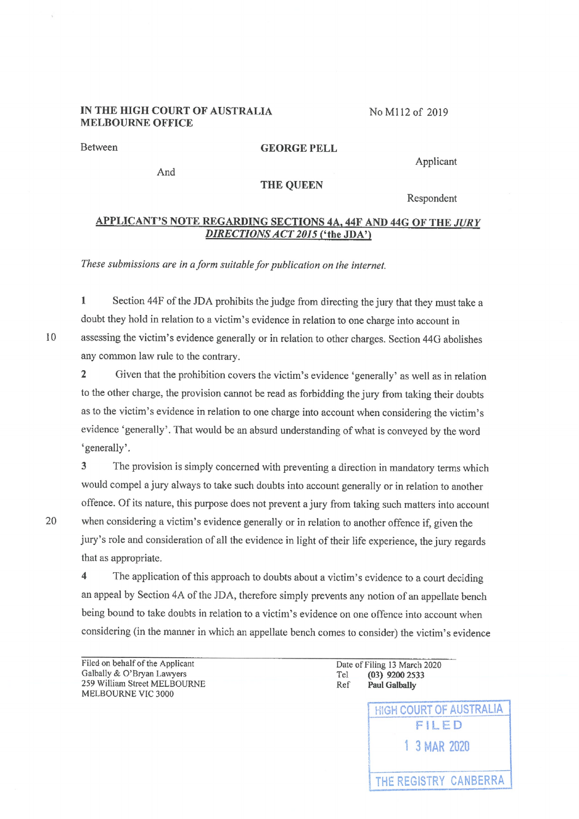## **IN THE HIGH COURT OF AUSTRALIA MELBOURNE OFFICE**

No Ml 12 of 2019

## Between **GEORGE PELL**

And

Applicant

## **THE QUEEN**

Respondent

## **APPLICANT'S NOTE REGARDING SECTIONS 4A, 44F AND 44G OF THE JURY**  *DIRECTIONS ACT 2015* **('the JDA')**

*These submissions are in aform suitable for publication on the internet.* 

**<sup>1</sup>**Section 44F of the IDA prohibits the judge from directing the jury that they must take a doubt they hold in relation to a victim's evidence in relation to one charge into account in 10 assessing the victim's evidence generally or in relation to other charges. Section 44G abolishes any common law rule to the contrary.

**<sup>2</sup>**Given that the prohibition covers the victim's evidence 'generally' as well as in relation to the other charge, the provision cannot be read as forbidding the jury from taking their doubts as to the victim's evidence in relation to one charge into account when considering the victim's evidence 'generally'. That would be an absurd understanding of what is conveyed by the word 'generally'.

**<sup>3</sup>**The provision is simply concerned with preventing a direction in mandatory terms which would compel a jury always to take such doubts into account generally or in relation to another offence. Of its nature, this purpose does not prevent a jury from taking such matters into account 20 when considering a victim's evidence generally or in relation to another offence if, given the jury's role and consideration of all the evidence in light of their life experience, the jury regards that as appropriate.

**<sup>4</sup>**The application of this approach to doubts about a victim's evidence to a court deciding an appeal by Section 4A of the JDA, therefore simply prevents any notion of an appellate bench being bound to take doubts in relation to a victim's evidence on one offence into account when considering (in the manner in which an appellate bench comes to consider) the victim's evidence

Filed on behalf of the Applicant Galbally & O'Bryan Lawyers 259 William Street MELBOURNE MELBOURNE VIC 3000

Date of Filing 13 March 2020 Tel (03) 9200 2533 Ref **Paul Galbally**